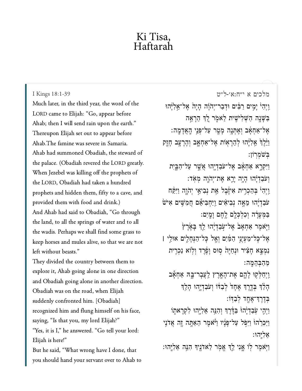## Ki Tisa, Haftarah

I Kings 18:1-39

Much later, in the third year, the word of the LORD came to Elijah: "Go, appear before Ahab; then I will send rain upon the earth." Thereupon Elijah set out to appear before Ahab. The famine was severe in Samaria. Ahab had summoned Obadiah, the steward of the palace. (Obadiah revered the LORD greatly.  $\overline{\text{}}$  When Jezebel was killing off the prophets of the LORD, Obadiah had taken a hundred prophets and hidden them, fifty to a cave, and provided them with food and drink.) And Ahab had said to Obadiah, "Go through the land, to all the springs of water and to all the wadis. Perhaps we shall find some grass to keep horses and mules alive, so that we are not left without beasts."

They divided the country between them to explore it, Ahab going alone in one direction. and Obadiah going alone in another direction. Obadiah was on the road, when Elijah suddenly confronted him. [Obadiah] recognized him and flung himself on his face, saying, "Is that you, my lord Elijah?" "Yes, it is I," he answered. "Go tell your lord: Elijah is here!"

But he said, "What wrong have I done, that you should hand your servant over to Ahab to

[מלכים א י״ח:א׳-ל״ט](https://www.sefaria.org/I%20Kings%2018:1-39) 18:1-39 Kings I וֵיִה<sup>ְּו</sup> יָמֵים רַבִּ֫ים וּדְבַר־יִהוֹוָה הָיָה אֵל־אֵלְיָּהוּ ָב ָּשׁנָה הַשָּׁלִישִׁית לְאמֹר לֵךְ הַרְאָה ָאֲל־אַחָאָ֫ב וְאֵתְּנֶה מָטֵר עַל־פְּנֵי הָאֲדָמֶה וַיֶּלֶךְ אֱלְיָּהוּ לְהֶרָאָוֹת אֱל־אַחָאֲב וְהָרַעֲב חָזֶק ָב יש מרון: וַיִּקְרֵא אַחָאָב אֱל־עֹבַדְיֶהוּ אֲשֶׁר עַל־הַבָּיִת וְעֹבְדְיָהוּ הָיָה יָרֵא אֶת־יְהֹוֵה מְאָד: וֵיְהִי ּבְהַכְרֵית אִיזֶּבֵל אֵת נִבְיאֵי יִהֹוֶה וַיִּקַּח  $i$ עבדְיָהוּ מֵאֵה נִבְיאִים וַיִּחְבִּיאֵם חֲמַשֵּׁיִם אֵיש ּבַּמְעָרָׂה וְכִלְכָּלֶם לֵחֵם וָמֱיִם: וַיָּאמֶר אַחָאָב אֱל־עִבְדְיָ֫הוּ לֵךְ בָּאֲרֵץ ֶא ל־ׇּכ ל־ַמ ְע ְיֵ֣ני ַה ַּ֔מ ִים ְו ֶ֖א ל ׇּכ ל־ַה ְּנ ָח ִ֑ל ים אּוַ֣ל י **׀** נמצא חציר וּנחיה סוּס ופרד ולוֹא נכרית ֵמ ַה ְּב ֵה ָֽמ ה׃ ַוְיִחַלְקִוּ לַהֱם אֶת־הָאֲרֵץ לֲעֲבָר־בָּה אַחָאָצ הָלַךְ בְּדֶרֶךְ אֶחָל לְבַדוֹ וְעֹבַדְיֵהוּ הָלֵךְ ָבּדרךְ־אַחד לִבדּוֹ וַיְהֵי עַבְדְיָּהוּּ בְּדֶּרֶךְ וְהָנֵּה אֱלְיֵּהוּ לְקַרָאתָוֹ וַיַּכְרֵ<sup>ו</sup>הוּּ֫ וַיִּפְּל עַל־פָּנָיו וַי<sup>ּ</sup>ֹאמֶר הַאַתֲה זֶה אֲדֹגִי  $:$ יהו $\times$ וַיְאֹמֶר לְוֹ אֲנִי לֵךְ אֵמְר לַאדֹנֵיךְ הָנֵה אֲלִיַּהוּ: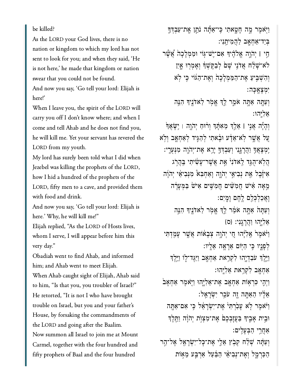## be killed?<br>

be killed?<br>As the LORD your God lives, there is no As the LORD your God lives, there is no<br>nation or kingdom to which my lord has not<br>sent to look for you; and when they said, 'He sent to look for you; and when they said, 'He<br>is not here,' he made that kingdom or nation is not here,' he made that kingdom<br>swear that you could not be found. swear that you could not be found. swear that you could not be found.<br>And now you say, 'Go tell your lord: Elijah is

here!'

here!'<br>When I leave you, the spirit of the LORD will<br>carry you off I don't know where; and when I carry you off I don't know where; and when I carry you off I don't know where; and when I<br>come and tell Ahab and he does not find you,<br>he will kill me. Yet your servant has revered the he will kill me. Yet you<br>LORD from my youth. LORD from my youth.

LORD from my youth.<br>My lord has surely been told what I did when<br>Jezebel was killing the prophets of the LORD, Jezebel was killing the prophets of the LORI<br>how I hid a hundred of the prophets of the how I hid a hundred of the prophets of the how I hid a hundred of the prophets of the<br>LORD, fifty men to a cave, and provided them<br>with food and drink. with food and drink.

with food and drink.<br>And now you say, 'Go tell your lord: Elijah is<br>here.' Whv, he will kill me!" here.' Why, he will kill me!"

here.' Why, he will kill me!"<br>Elijah replied, "As the LORD of Hosts lives,<br>whom I serve. I will appear before him this whom I set<br>very day." very day."

very day."<br>Obadiah went to find Ahab, and informed<br>him: and Ahab went to meet Eliiah. him; and Ahab went to meet Elijah.

him; and Ahab went to meet Elijah.<br>When Ahab caught sight of Elijah, Ahab said<br>to him, "Is that vou, vou troubler of Israel?" to him, "Is that you, you troubler of Israel!<br>He retorted, "It is not I who have brought He retorted, "It is not I who have brought<br>trouble on Israel, but you and your father's trouble on Israel, but you and your father's<br>House, by forsaking the commandments of thouse, by forsaking the commandment<br>the LORD and going after the Baalim. the LORD and going after the Baalim. the LORD and going after the Baalim.<br>Now summon all Israel to join me at Mount<br>Carmel, together with the four hundred and Carmel, together with the four hundred an<br>fifty prophets of Baal and the four hundred

ַוֹּ֖יאֶמר ֶ֣מה ָחָ֑טאִתי ִּֽכי־ַאָּ֞תה ֹנֵ֧תן ֶֽאת־ַעְבְּדָ֛ך ְּבַיד־ַאְחָ֖אב ַלֲהִמיֵֽתִני׃ ַ֣חי **׀** ְי ֹה ָ֣וֹהָ֣וה ֱאֹלֶ֗היָך ִאם־ֶיׁש־ּ֤גֹוי ּוַמְמָלָכ֙ה ֲ֠אֶׁ֠שר לֹא־שַׁלַּח אֲדֹנֵי שַׁם לְבַקֵּשְׁדְּ וְאָמְרִוּ אָיִן וְהִשְׁבִּיעֲ אֱת־הַמַּמְלָכָה וְאֶת־הַגּוֹי כֵּי לְא ִיְמָצֶֽאָּכה׃ וְעַתָּה אַתֵּה אֹמֵר לֵךְ אֱמְר לַאדֹנֶיךָ הָגֵּה ֵאִלָּֽיהּו׃ ְוָהָ֞יה ֲאִ֣ני **׀** ֵאֵ֣לְך ֵמִאָּ֗תְך ְו֨רּוַח ְי ֹה ָ֤וֹהָ֤וה ׀ ִֽיָּׂשֲאָ֙ך ַ֚על ֲאֶׁ֣שר ֹֽלא־ֵאָ֔דע ּוָ֨באִתי ְלַהִּ֧גיד ְלַאְחָ֛אב ְוֹ֥לא ַיְמְצָאָךְ וַהֲרָגְנִי וְעָבְדָּךְ יָרֵא אֶת־יְהֹוֵה מְּנִעְרֵי׃ הלֹא־הגד לאדֹניׁ את אַשר־עַשיתי בַּהרֹג ִאיֶ֔זֶבל ֵ֖את ְנִביֵ֣אי ְי ֹה ָ֑וֹהָ֑וה ָוַאְחִּב֩א ִמְּנִביֵ֨אי ְיֹהָ֜וה מאה איש חמשים חמשים איש במערה ָוֲאַכְלְּכֵ֖לם ֶ֥לֶחם ָוָֽמִים׃ וַעַתְּהֹ אִתְּה אֹמֹר לִךְ אַמֹר לְאָדֹניִךְ הִנָּה  $\{0\}$  :אֵלִיּהוּ וַהֲרַגְנִי ַו<sup>ְ</sup>ּאֹמֵרׂ אֱלְיָּהוּ חֵי יְהֹוֵה צְבָאֹוֹת אֲשֵׁר עַמְדִתִּי ְלָפָ֑ניו ִּ֥כי ַהּ֖יֹום ֵאָרֶ֥אה ֵאָֽליו׃ וַיֵּלֵֽךְ עֹבַדְיָהוּ לְקָרֵאת אָחָאָב וַיַּגֵּד־לְוֹ וַיֵּלֵךְ ָאֲחָאָב לִקְרָאת אֱלִיְּהוּ ַוְיָהֵי כְּרְאִוֹת אָחָאָב אֶת־אֱלְיֵהוּ וַיִּאֹמֶר אָחָאָב ָאָלִיו הָאָתָּה זה עֹכר יִשׂראָל: ַוִּ $i$ יאָמֶר לְא עָבַׂרְתְּיֹ אֶת־יְשָׂרָאֵל כֵּי אָם־אַתֶּה ּוֵ֣בית ָאִ֑ביָך ַּבֲעׇזְבֶכ֙ם ֶאת־ִמְצֺ֣ות ְיֹהָ֔וה ַוֵּ֖תֶלְך  $\Omega$ אַחֲרֵי הַבְּעַלִים: וְעַתְּה שָׁלָ<sup>ׂ</sup>ח קִבְ֫ץ אֲלֵי אֶת־כַּל־יִשְׂרַאֱל אֱל־הַר ָהַכִּרְמל וָאת־נִביָאִי הַבַּעל אַרבּע מַאוֹת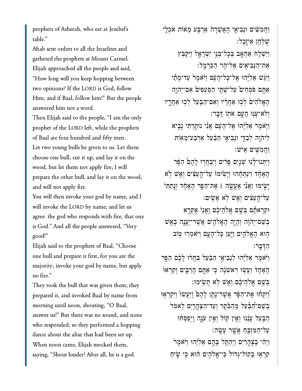e<br>13 prophets of Asherah, who eat at Jezebel's table." .<br>table."<br>Ahab sent orders to all the Israelites and

Ahab sent orders to all the Israelites and<br>gathered the prophets at Mount Carmel.<br>Elijah approached all the people and said, -<br>Elijah approached all the people and said,<br>"How long will you keep hopping between "How long will you keep hopping betweer<br>two opinions? If the LORD is God, follow two opinions? If the LORD is God, follow two opinions? If the LORD is God, follow<br>Him; and if Baal, follow him!" But the people<br>answered him not a word. answered him not a word.

answered him not a word.<br>Then Elijah said to the people, "I am the only<br>prophet of the LORD left, while the prophets prophet of the LORD left, while the pro<br>of Baal are four hundred and fifty men. of Baal are four hundred and fifty men. of Baal are four hundred and fifty men.<br>Let two young bulls be given to us. Let them<br>choose one bull, cut it up, and lay it on the choose one bull, cut it up, and lay it on the choose one bull, cut it up, and lay it on the<br>wood, but let them not apply fire; I will<br>prepare the other bull, and lay it on the wood, prepare the other bull,<br>and will not apply fire. and will not apply fire.

end will not apply fire.<br>You will then invoke your god by name, and I<br>will invoke the LORD by name; and let us will invoke the LORD by name; and let us will invoke the LORD by name; and let us<br>agree: the god who responds with fire, that one<br>is God." And all the people answered, "Very is God." And all the people answered, "Very good!"

good!"<br>Elijah said to the prophets of Baal, "Choose<br>one bull and prepare it first, for you are the one bull and prepare it first, for you are the<br>majority; invoke your god by name, but apply majority<br>no fire." no fire."

 took the bull that was given them; they prepared it, and invoked Baal by name from prepared it, and invoked Baal by name f<br>morning until noon, shouting, "O Baal, morning until noon, shouting, "O Baal, morning until noon, shouting, "O Baal,<br>answer us!" But there was no sound, and none<br>who responded: so they performed a hopping who responded; so they performed a hoppi<br>dance about the altar that had been set up. dance about the altar that had been set u<br>When noon came, Elijah mocked them, When noon came, Elijah mocked them, saying, "Shout louder! After all, he is a god.

ַוְחֲמִשִּׁים וּנִבִיאֵי הָאֲשֶרַה <sub>ָ</sub>אַרְבַּע מֵאֹות אֹכְלֵי ֻׁשְלַ֥חן ִאיָֽזֶבל׃ וַיִּשְׁלֵח אַחָאָב בְּכָל־בְּנֵי יְשָׂרָאֵל וַיִּקְבְּ֫ץ ָאֶת־הַנְּבִיאִים אֱל־הַר הַכַּרְמֵל: ַוְיִּגַּֽֽשׁ אֵלְיָּהוּ אֵל־כָּל־הָעָׁם וַיּּׂאֹמֶרׂ עַד־מָתַי ְאַתֵּם פִּסְחִים ׁעַל־שָׁתֵּי הַסְעָפִּים ֹאֲם־יָהָוָה ָהַאֲלֹהִים לְכִוּ אַחֲרִיו וְאֲם־הַבַּעַל לְכִוּ אַחֲרֵיו ולֹא־ענוּ העם אתו דּבר: וַיִּאמֶר אֵלְיָּהוּׂ אֱל־הָעָם אֲנִי נוֹתַרְתִּי נָבֵיא ליהוה לִבִדי וּנִביאי הִבּׂעל אַרבּע־מַאוֹת ַוֲחִמִּׁ֖שים ִֽאיׁש׃ וִיתּנוּ־לִּנוּ שַׁנִים פּרֹים וִיבַחְרוּ לִהְם הַפִּּר ָהָאָחד וינתּחהוּ ויִשׂימוּ על־הַעצים וְאָשׁ לֹא ָיִׂ֑שימּו ַוֲאִ֞ני ֶאֱעֶׂ֣שה **׀** ֶאת־ַהָּ֣פר ָהֶאָ֗חד ְוָֽנַתִּת֙י :על־הַעַצים וַאָּשׁ לֹאָ אַשׂים ּוְקָראֶ֞תם ְּבֵׁ֣שם ֱאֹלֵהיֶ֗כם ַֽוֲאִנ֙י ֶאְקָ֣רא ְבֵׁשם־ְיֹהָ֔וה ְוָהָ֧יה ָהֱאֹלִ֛הים ֲאֶׁשר־ַיֲעֶ֥נה ָבֵ֖אׁש ָהוּא הָאֱלֹהִים וַיֵּעַן כָּל־הָעֲם וַיּאמְרִוּ טְוֹב ַהָּדָֽבר׃ וַיֹּאמֶר אֵלְיָּהוּ לְנִבִיאֵי הַבַּעַל בַּחֲרֹוּ לָכֶם הַפֵּר ָהָאָחַד וַעֲשׂוּ רְאִשׁנה כֵּי אָתֵּם הַרְבִּים וְקִרְאוּ ָּבְּשֵׁם אֱלֹהֵיִכֶּם וְאֵֽֽשׁ לְא תָֽשִׂימוּ ֿוַיִּקְחֿוּ אֶת־הַפָּ֫ר אֲשֶׁר־נָמַן לָהֵם ֿוַיַּעֲשׂוּ וַיִּקְרָאִו ֹבְשֵׁם־תַגַּבְּעַל מֵהַבֹּקֵר וְעַד־הַצָּהֶרֵיִם לֵאמֹר ָהַבַּעל עַננוּ וַאין קוֹל וַאין עַנה ויפַסּחוּ ַעל־ַהִּמְזֵּ֖בַח ֲאֶׁ֥שר ָעָֽׂשה׃ וְיָהִי בִצַּהֲרִיִּם וַיִּהַתֵּל ִבְּהֵם אֱלִיְּּהוּ וַיֹּאֹמֶרֹ ַקְרֹאוּ בקוֹל־גדוֹל כּי־אלֹהים הוא כּי שׂיח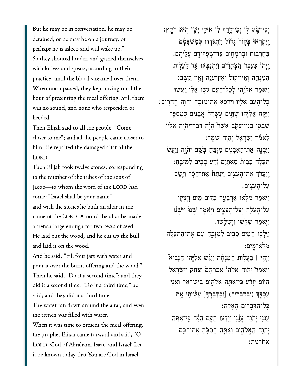he may be in conversation, he may be detained, or he may be on <sup>a</sup> journey, or detained, or he may be on a journey, or<br>perhaps he is asleep and will wake up." perhaps he is asleep and will wake up." perhaps he is asleep and will wake up."<br>So they shouted louder, and gashed themselves<br>with knives and spears, according to their with knives and spears, according to their with knives and spears, according to their<br>practice, until the blood streamed over them. practice, until the blood streamed over them.<br>When noon passed, they kept raving until the<br>hour of presenting the meal offering. Still there hour of presenting the meal offering. Still th<br>was no sound, and none who responded or was no sound, and none who responded or heeded. heeded.<br>Then Elijah said to all the people, "Come

Then Elijah said to all the people, "Come<br>closer to me"; and all the people came closer to<br>him. He repaired the damaged altar of the him. He repaired the damaged altar of the LORD.

LORD.<br>Then Elijah took twelve stones, corresponding<br>to the number of the tribes of the sons of to the number of the tribes of the sons of to the number of the tribes of the sons of<br>Jacob—to whom the word of the LORD had<br>come: "Israel shall be your name" come: "Israel shall be your name"-.<br>come: "Israel shall be your name"—<br>and with the stones he built an altar in the and with the stones he built an altar in the<br>name of the LORD. Around the altar he made<br>a trench large enough for two *seah*s of seed. a trench large enough for two *seah*s of seed.<br>He laid out the wood, and he cut up the bull  $\frac{a}{b}$  He laid out the wood, and laid it on the wood. and laid it on the wood.

and laid it on the wood.<br>And he said, "Fill four jars with water and<br>pour it over the burnt offering and the wood." pour it over the burnt offering and the wood."<br>Then he said, "Do it a second time"; and thev .<br>Then he said, "Do it a second time"; and the<br>did it a second time. "Do it a third time." he did it a second time. "Do it a thir<br>said: and thev did it a third time. said; and they did it a third time.

said; and they did it a third time.<br>The water ran down around the altar, and even<br>the trench was filled with water. the trench was filled with water.

the trench was filled with water.<br>When it was time to present the meal offering,<br>the prophet Elijah came forward and said, "O the prophet Elijah came forward and said, "O<br>LORD, God of Abraham, Isaac, and Israel! Let IORD, God of Abraham, Isaac, and Israel! L<br>it be known todav that You are God in Israel

ְוִכי־ִׂ֛שיג ֖לֹו ְוִכי־ֶ֣דֶרְך ֑לֹו אּוַ֛לי ָיֵׁ֥שן ֖הּוא ְוִיָֽקץ׃ וַיִּקְרָא<sup>ַן</sup> בִּקְוֹל גַּדֹוֹל וַיִּתְגִּדְדוּ כָּמְשָׁפַּטַם ַּבֲחָר֖בֹות ּוָבְרָמִ֑חים ַעד־ְׁשׇפְך־ָּ֖דם ֲעֵליֶֽהם׃ ַוְיִהִי כַּעֲבִר הַצָּהֲרֵים וַיֵּתְנַבְּאֹוּ עֵד לַעֲלִוֹת ָהַמְּנְחֶה וְאֵין־קוֹל וְאֵין־עֹנֶה וְאֵין קַשֶּׁב וַיֹּאָמֶר אֶלִיּהוּ לְכַל־הַעַם גִּשׁוּ אֲלֹי וַיְּגִּשָׁוּ ַכְל־הַעֲם אֱלֵיו וַיְרַפֵּא אֶת־מְזָבֵּח יְהֹוֵה הֲהָרוּס: וַיִּקַח אֵלְיָּהוּ שָׁתֵּים עֲשָׂרֶה אֲבִנִּים כְּמִסְפֵּר ֹשְׁבְטֵי בְנֵי־יַעֲקָב אֲשֶׁר הָיָה דְבַר־יְהֹוֶה אֱלָיוֹ ֿלָאמֹר יִשְׂרָאֱל יֶהֶיֶה שָׁמֱךָ׃ ַוִּיְבֶ֧נה ֶאת־ָהֲאָבִ֛נים ִמְזֵּ֖בַח ְּבֵׁ֣שם ְי ֹה ָ֑וֹהָ֑וה ַוַּ֣יַעׂש הַעֲלָה כְּבֵית סַאַתֵּיִם זֵרַע סָבֶיב לַמְזָבֵּחַ: ויִעֲרֹךְ אַת־הַעַצים וִינַתְּח אַת־הַפּֿר ויִשׂם ַעל־ָהֵעִֽצים׃ ַוְיֹּאמֶר מִלְאׁוּ אַרְבָּעֶה כַדִּים מַּ֫יִם וְיֵצְקִוּ ֿעל־הָעלה וַעל־הַעַצים ויּאָמר שׁנוּ ויּשׁנּו ַוֹּ֥יאֶמר ַׁשֵּ֖לׁשּו ַוְיַׁשֵּֽלׁשּו׃ ַוְיֵּלְכִוּ הַמֵּ֫יִם סָבִיב לַמְזִבֵּחָ וְגֵם אֱת־הַתְּעָלֶה ִמֵּלא־ָֽמִים׃ ַוְיִ֣הי **׀** ַּבֲע֣לֹות ַהִּמְנָ֗חה ַוִּיַּ֞גׁש ֵאִלָּ֣יהּו ַהָּנִבי֮א וִיּאַמַר יְהֹוָה אֱלֹהֵי אַבְרְהָם יְצָחֲק וְיִשְרַאֵּל ַהַיִּּוֹם יִיְּדַע כִּי־אַתֲה אֱלֹהֶים בְּיִשְׂרָאֵל וַאֲנִי ִי<br>הַיָּוֹם יִוְדַֹע כִּי־אַתֱה אֱלֹהֶים בְּיִשְׂרָאֱל וַאֲ<br>עַבְדֶֶךְ (ובדבריך) [וּבִדְבְרְךָּ] עָשִׂיתִי אֶת ׇּכל־ַהְּדָבִ֖רים ָהֵֽאֶּלה׃ ַעֲנֵנִי יְהֹוַהֹ עֲנֵ֫נִי וְוֵיִדְעוּ הָעֲם הַזֶּּה כִּי־אָתֵּה יָהֹוֶה הָאֱלֹהֶים וְאַתֵּה הֲסִבְּת ְאֶת־לְבֵּם ֲאֹחַרִּֽנית׃